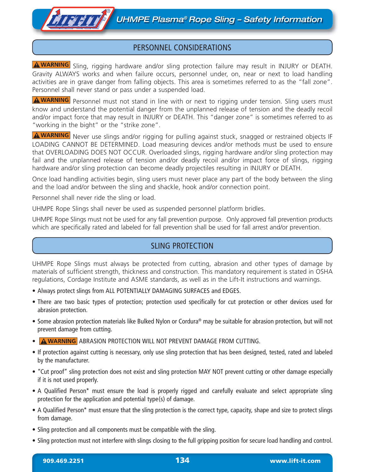### PERSONNEL CONSIDERATIONS

A WARNING Sling, rigging hardware and/or sling protection failure may result in INJURY or DEATH. Gravity ALWAYS works and when failure occurs, personnel under, on, near or next to load handling activities are in grave danger from falling objects. This area is sometimes referred to as the "fall zone". Personnel shall never stand or pass under a suspended load.

**AWARNING** Personnel must not stand in line with or next to rigging under tension. Sling users must know and understand the potential danger from the unplanned release of tension and the deadly recoil and/or impact force that may result in INJURY or DEATH. This "danger zone" is sometimes referred to as "working in the bight" or the "strike zone".

A WARNING Never use slings and/or rigging for pulling against stuck, snagged or restrained objects IF LOADING CANNOT BE DETERMINED. Load measuring devices and/or methods must be used to ensure that OVERLOADING DOES NOT OCCUR. Overloaded slings, rigging hardware and/or sling protection may fail and the unplanned release of tension and/or deadly recoil and/or impact force of slings, rigging hardware and/or sling protection can become deadly projectiles resulting in INJURY or DEATH.

Once load handling activities begin, sling users must never place any part of the body between the sling and the load and/or between the sling and shackle, hook and/or connection point.

Personnel shall never ride the sling or load.

**THE THE** 

UHMPE Rope Slings shall never be used as suspended personnel platform bridles.

UHMPE Rope Slings must not be used for any fall prevention purpose. Only approved fall prevention products which are specifically rated and labeled for fall prevention shall be used for fall arrest and/or prevention.

## SLING PROTECTION

UHMPE Rope Slings must always be protected from cutting, abrasion and other types of damage by materials of sufficient strength, thickness and construction. This mandatory requirement is stated in OSHA regulations, Cordage Institute and ASME standards, as well as in the Lift-It instructions and warnings.

- Always protect slings from ALL POTENTIALLY DAMAGING SURFACES and EDGES.
- There are two basic types of protection; protection used specifically for cut protection or other devices used for abrasion protection.
- Some abrasion protection materials like Bulked Nylon or Cordura® may be suitable for abrasion protection, but will not prevent damage from cutting.
- **A WARNING** ABRASION PROTECTION WILL NOT PREVENT DAMAGE FROM CUTTING.
- If protection against cutting is necessary, only use sling protection that has been designed, tested, rated and labeled by the manufacturer.
- "Cut proof" sling protection does not exist and sling protection MAY NOT prevent cutting or other damage especially if it is not used properly.
- A Qualified Person\* must ensure the load is properly rigged and carefully evaluate and select appropriate sling protection for the application and potential type(s) of damage.
- A Qualified Person\* must ensure that the sling protection is the correct type, capacity, shape and size to protect slings from damage.
- Sling protection and all components must be compatible with the sling.
- Sling protection must not interfere with slings closing to the full gripping position for secure load handling and control.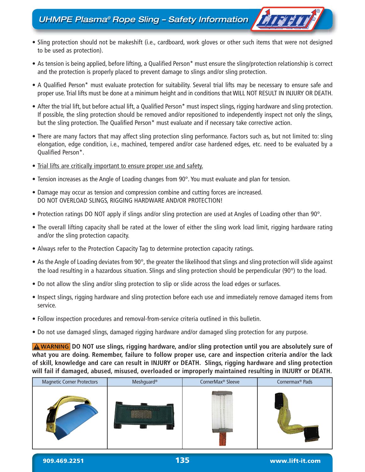# UHMPE Plasma® Rope Sling – Safety Information

• Sling protection should not be makeshift (i.e., cardboard, work gloves or other such items that were not designed to be used as protection).

FISS.

- As tension is being applied, before lifting, a Qualified Person\* must ensure the sling/protection relationship is correct and the protection is properly placed to prevent damage to slings and/or sling protection.
- A Qualified Person\* must evaluate protection for suitability. Several trial lifts may be necessary to ensure safe and proper use. Trial lifts must be done at a minimum height and in conditions that WILL NOT RESULT IN INJURY OR DEATH.
- After the trial lift, but before actual lift, a Qualified Person\* must inspect slings, rigging hardware and sling protection. If possible, the sling protection should be removed and/or repositioned to independently inspect not only the slings, but the sling protection. The Qualified Person\* must evaluate and if necessary take corrective action.
- There are many factors that may affect sling protection sling performance. Factors such as, but not limited to: sling elongation, edge condition, i.e., machined, tempered and/or case hardened edges, etc. need to be evaluated by a Qualified Person\*.
- Trial lifts are critically important to ensure proper use and safety.
- Tension increases as the Angle of Loading changes from 90°. You must evaluate and plan for tension.
- Damage may occur as tension and compression combine and cutting forces are increased. DO NOT OVERLOAD SLINGS, RIGGING HARDWARE AND/OR PROTECTION!
- Protection ratings DO NOT apply if slings and/or sling protection are used at Angles of Loading other than 90°.
- The overall lifting capacity shall be rated at the lower of either the sling work load limit, rigging hardware rating and/or the sling protection capacity.
- Always refer to the Protection Capacity Tag to determine protection capacity ratings.
- As the Angle of Loading deviates from 90°, the greater the likelihood that slings and sling protection will slide against the load resulting in a hazardous situation. Slings and sling protection should be perpendicular (90°) to the load.
- Do not allow the sling and/or sling protection to slip or slide across the load edges or surfaces.
- Inspect slings, rigging hardware and sling protection before each use and immediately remove damaged items from service.
- Follow inspection procedures and removal-from-service criteria outlined in this bulletin.
- Do not use damaged slings, damaged rigging hardware and/or damaged sling protection for any purpose.

**A** WARNING DO NOT use slings, rigging hardware, and/or sling protection until you are absolutely sure of **what you are doing. Remember, failure to follow proper use, care and inspection criteria and/or the lack of skill, knowledge and care can result in INJURY or DEATH. Slings, rigging hardware and sling protection will fail if damaged, abused, misused, overloaded or improperly maintained resulting in INJURY or DEATH.**

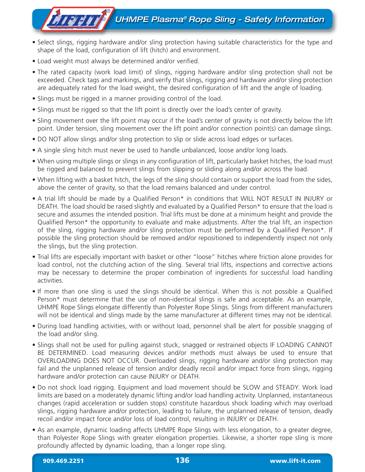# **A I & BY A** UHMPE Plasma® Rope Sling - Safety Information

- Select slings, rigging hardware and/or sling protection having suitable characteristics for the type and shape of the load, configuration of lift (hitch) and environment.
- Load weight must always be determined and/or verified.
- The rated capacity (work load limit) of slings, rigging hardware and/or sling protection shall not be exceeded. Check tags and markings, and verify that slings, rigging and hardware and/or sling protection are adequately rated for the load weight, the desired configuration of lift and the angle of loading.
- Slings must be rigged in a manner providing control of the load.
- Slings must be rigged so that the lift point is directly over the load's center of gravity.
- Sling movement over the lift point may occur if the load's center of gravity is not directly below the lift point. Under tension, sling movement over the lift point and/or connection point(s) can damage slings.
- DO NOT allow slings and/or sling protection to slip or slide across load edges or surfaces.
- A single sling hitch must never be used to handle unbalanced, loose and/or long loads.
- When using multiple slings or slings in any configuration of lift, particularly basket hitches, the load must be rigged and balanced to prevent slings from slipping or sliding along and/or across the load.
- When lifting with a basket hitch, the legs of the sling should contain or support the load from the sides, above the center of gravity, so that the load remains balanced and under control.
- A trial lift should be made by a Qualified Person\* in conditions that WILL NOT RESULT IN INJURY or DEATH. The load should be raised slightly and evaluated by a Qualified Person\* to ensure that the load is secure and assumes the intended position. Trial lifts must be done at a minimum height and provide the Qualified Person\* the opportunity to evaluate and make adjustments. After the trial lift, an inspection of the sling, rigging hardware and/or sling protection must be performed by a Qualified Person\*. If possible the sling protection should be removed and/or repositioned to independently inspect not only the slings, but the sling protection.
- Trial lifts are especially important with basket or other "loose" hitches where friction alone provides for load control, not the clutching action of the sling. Several trial lifts, inspections and corrective actions may be necessary to determine the proper combination of ingredients for successful load handling activities.
- If more than one sling is used the slings should be identical. When this is not possible a Qualified Person\* must determine that the use of non-identical slings is safe and acceptable. As an example, UHMPE Rope Slings elongate differently than Polyester Rope Slings. Slings from different manufacturers will not be identical and slings made by the same manufacturer at different times may not be identical.
- During load handling activities, with or without load, personnel shall be alert for possible snagging of the load and/or sling.
- Slings shall not be used for pulling against stuck, snagged or restrained objects IF LOADING CANNOT BE DETERMINED. Load measuring devices and/or methods must always be used to ensure that OVERLOADING DOES NOT OCCUR. Overloaded slings, rigging hardware and/or sling protection may fail and the unplanned release of tension and/or deadly recoil and/or impact force from slings, rigging hardware and/or protection can cause INJURY or DEATH.
- Do not shock load rigging. Equipment and load movement should be SLOW and STEADY. Work load limits are based on a moderately dynamic lifting and/or load handling activity. Unplanned, instantaneous changes (rapid acceleration or sudden stops) constitute hazardous shock loading which may overload slings, rigging hardware and/or protection, leading to failure, the unplanned release of tension, deadly recoil and/or impact force and/or loss of load control, resulting in INJURY or DEATH.
- As an example, dynamic loading affects UHMPE Rope Slings with less elongation, to a greater degree, than Polyester Rope Slings with greater elongation properties. Likewise, a shorter rope sling is more profoundly affected by dynamic loading, than a longer rope sling.